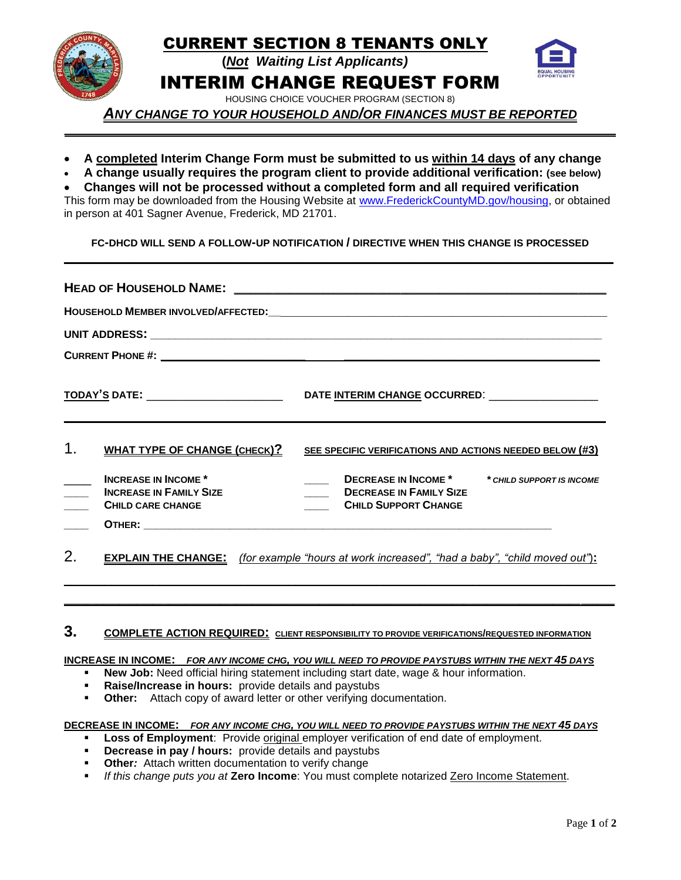

*ANY CHANGE TO YOUR HOUSEHOLD AND/OR FINANCES MUST BE REPORTED \_\_\_\_\_\_\_\_\_\_\_\_\_\_\_\_\_\_\_\_\_\_\_\_\_\_\_\_\_\_\_\_\_\_\_\_\_\_\_\_\_\_\_\_\_\_\_\_\_\_\_\_\_\_\_\_\_\_\_\_\_\_\_\_\_\_\_\_\_\_\_\_\_\_\_\_\_\_\_\_\_*

- **A completed Interim Change Form must be submitted to us within 14 days of any change**
- **A change usually requires the program client to provide additional verification: (see below)**
- **Changes will not be processed without a completed form and all required verification**

This form may be downloaded from the Housing Website at [www.FrederickCountyMD.gov/housing,](http://www.frederickcountymd.gov/housing) or obtained in person at 401 Sagner Avenue, Frederick, MD 21701.

**FC-DHCD WILL SEND A FOLLOW-UP NOTIFICATION / DIRECTIVE WHEN THIS CHANGE IS PROCESSED \_\_\_\_\_\_\_\_\_\_\_\_\_\_\_\_\_\_\_\_\_\_\_\_\_\_\_\_\_\_\_\_\_\_\_\_\_\_\_\_\_\_\_\_\_\_\_\_\_\_\_\_\_\_\_\_\_\_\_\_\_\_\_\_\_\_\_\_\_\_\_\_\_\_**

| 1. | <b>WHAT TYPE OF CHANGE (CHECK)?</b>                                                      | SEE SPECIFIC VERIFICATIONS AND ACTIONS NEEDED BELOW (#3)                                                                  |  |  |  |
|----|------------------------------------------------------------------------------------------|---------------------------------------------------------------------------------------------------------------------------|--|--|--|
|    | <b>INCREASE IN INCOME*</b><br><b>INCREASE IN FAMILY SIZE</b><br><b>CHILD CARE CHANGE</b> | <b>DECREASE IN INCOME *</b><br>* CHILD SUPPORT IS INCOME<br><b>DECREASE IN FAMILY SIZE</b><br><b>CHILD SUPPORT CHANGE</b> |  |  |  |
|    |                                                                                          |                                                                                                                           |  |  |  |
| 2. |                                                                                          | <b>EXPLAIN THE CHANGE:</b> (for example "hours at work increased", "had a baby", "child moved out"):                      |  |  |  |
|    |                                                                                          |                                                                                                                           |  |  |  |

# **3. COMPLETE ACTION REQUIRED: CLIENT RESPONSIBILITY TO PROVIDE VERIFICATIONS/REQUESTED INFORMATION**

# **INCREASE IN INCOME:** *FOR ANY INCOME CHG, YOU WILL NEED TO PROVIDE PAYSTUBS WITHIN THE NEXT 45 DAYS*

- **New Job:** Need official hiring statement including start date, wage & hour information.
	- **Raise/Increase in hours:** provide details and paystubs
- **Other:** Attach copy of award letter or other verifying documentation.

#### **DECREASE IN INCOME:** *FOR ANY INCOME CHG, YOU WILL NEED TO PROVIDE PAYSTUBS WITHIN THE NEXT 45 DAYS*

- **Loss of Employment**: Provide original employer verification of end date of employment.
- **Decrease in pay / hours:** provide details and paystubs
- **Other:** Attach written documentation to verify change
- *If this change puts you at* **Zero Income**: You must complete notarized Zero Income Statement.